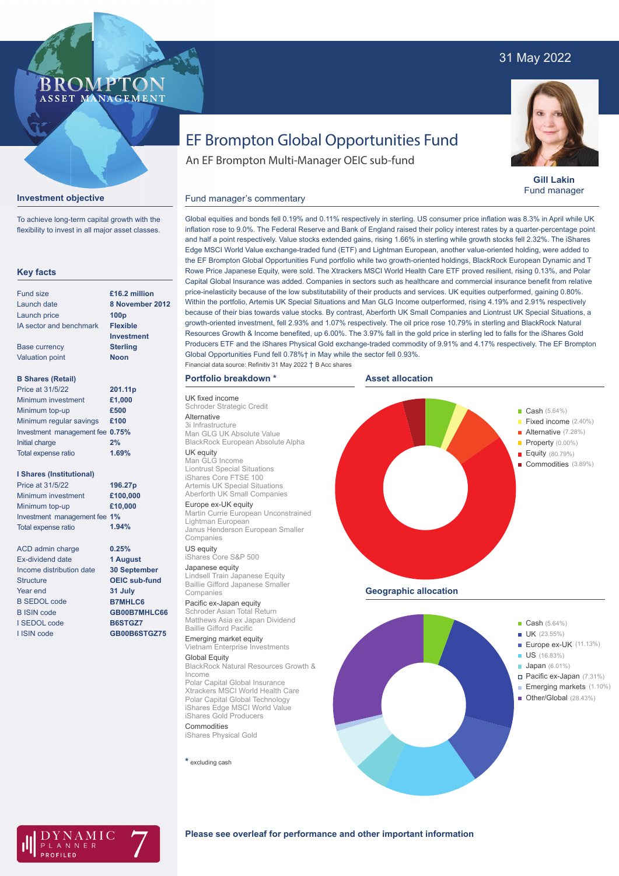## 31 May 2022



**Gill Lakin** Fund manager

# EF Brompton Global Opportunities Fund

An EF Brompton Multi-Manager OEIC sub-fund

#### Fund manager's commentary



**Investment objective**

To achieve long-term capital growth with the flexibility to invest in all major asset classes.

**BROMP** 

ASSET MANAGEMENT

Global equities and bonds fell 0.19% and 0.11% respectively in sterling. US consumer price inflation was 8.3% in April while UK inflation rose to 9.0%. The Federal Reserve and Bank of England raised their policy interest rates by a quarter-percentage point and half a point respectively. Value stocks extended gains, rising 1.66% in sterling while growth stocks fell 2.32%. The iShares Edge MSCI World Value exchange-traded fund (ETF) and Lightman European, another value-oriented holding, were added to the EF Brompton Global Opportunities Fund portfolio while two growth-oriented holdings, BlackRock European Dynamic and T Rowe Price Japanese Equity, were sold. The Xtrackers MSCI World Health Care ETF proved resilient, rising 0.13%, and Polar Capital Global Insurance was added. Companies in sectors such as healthcare and commercial insurance benefit from relative price-inelasticity because of the low substitutability of their products and services. UK equities outperformed, gaining 0.80%. Within the portfolio, Artemis UK Special Situations and Man GLG Income outperformed, rising 4.19% and 2.91% respectively because of their bias towards value stocks. By contrast, Aberforth UK Small Companies and Liontrust UK Special Situations, a growth-oriented investment, fell 2.93% and 1.07% respectively. The oil price rose 10.79% in sterling and BlackRock Natural Resources Growth & Income benefited, up 6.00%. The 3.97% fall in the gold price in sterling led to falls for the iShares Gold Producers ETF and the iShares Physical Gold exchange-traded commodity of 9.91% and 4.17% respectively. The EF Brompton Global Opportunities Fund fell 0.78%† in May while the sector fell 0.93%.

#### **Portfolio breakdown \*** Financial data source: Refinitiv 31 May 2022 † B Acc shares

UK fixed income Schroder Strategic Credit

UK equity Man GLG Income Liontrust Special Situations iShares Core FTSE 100 Artemis UK Special Situations Aberforth UK Small Companies Europe ex-UK equity

Lightman European

iShares Core S&P 500 Japanese equity

Pacific ex-Japan equity Schroder Asian Total Return

Baillie Gifford Pacific Emerging market equity Vietnam Enterprise Investments

Lindsell Train Japanese Equity Baillie Gifford Japanese Smaller

Polar Capital Global Insurance

Polar Capital Global Technology iShares Edge MSCI World Value iShares Gold Producers

Companies US equity

Companies

Global Equity

Commodities iShares Physical Gold

**\*** excluding cash

Income

Man GLG UK Absolute Value

Alternative 3i Infrastructure **Asset allocation**



AMIC NNEF

#### **Please see overleaf for performance and other important information**